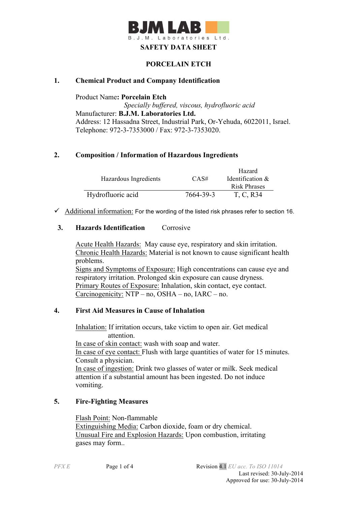

# **PORCELAIN ETCH**

### **1. Chemical Product and Company Identification**

Product Name**: Porcelain Etch**  *Specially buffered, viscous, hydrofluoric acid* Manufacturer: **B.J.M. Laboratories Ltd.** Address: 12 Hassadna Street, Industrial Park, Or-Yehuda, 6022011, Israel. Telephone: 972-3-7353000 / Fax: 972-3-7353020.

### **2. Composition / Information of Hazardous Ingredients**

|                       |           | Hazard              |
|-----------------------|-----------|---------------------|
| Hazardous Ingredients | CAS#      | Identification $\&$ |
|                       |           | <b>Risk Phrases</b> |
| Hydrofluoric acid     | 7664-39-3 | T, C, R34           |

 $\checkmark$  Additional information: For the wording of the listed risk phrases refer to section 16.

#### **3. Hazards Identification** Corrosive

Acute Health Hazards: May cause eye, respiratory and skin irritation. Chronic Health Hazards: Material is not known to cause significant health problems. Signs and Symptoms of Exposure: High concentrations can cause eye and respiratory irritation. Prolonged skin exposure can cause dryness. Primary Routes of Exposure: Inhalation, skin contact, eye contact. Carcinogenicity: NTP – no, OSHA – no, IARC – no.

#### **4. First Aid Measures in Cause of Inhalation**

 Inhalation: If irritation occurs, take victim to open air. Get medical attention.

 In case of skin contact: wash with soap and water. In case of eye contact: Flush with large quantities of water for 15 minutes. Consult a physician. In case of ingestion: Drink two glasses of water or milk. Seek medical attention if a substantial amount has been ingested. Do not induce vomiting.

#### **5. Fire-Fighting Measures**

Flash Point: Non-flammable Extinguishing Media: Carbon dioxide, foam or dry chemical. Unusual Fire and Explosion Hazards: Upon combustion, irritating gases may form..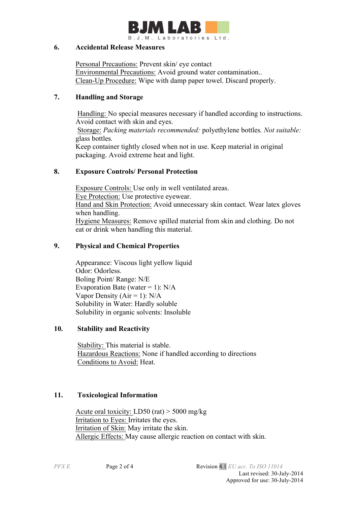

### **6. Accidental Release Measures**

Personal Precautions: Prevent skin/ eye contact Environmental Precautions: Avoid ground water contamination.. Clean-Up Procedure: Wipe with damp paper towel. Discard properly.

# **7. Handling and Storage**

Handling: No special measures necessary if handled according to instructions. Avoid contact with skin and eyes.

Storage: *Packing materials recommended:* polyethylene bottles*. Not suitable:*  glass bottles*.*

Keep container tightly closed when not in use. Keep material in original packaging. Avoid extreme heat and light.

# **8. Exposure Controls/ Personal Protection**

 Exposure Controls: Use only in well ventilated areas. Eye Protection: Use protective eyewear. Hand and Skin Protection: Avoid unnecessary skin contact. Wear latex gloves when handling. Hygiene Measures: Remove spilled material from skin and clothing. Do not eat or drink when handling this material.

# **9. Physical and Chemical Properties**

Appearance: Viscous light yellow liquid Odor: Odorless. Boling Point/ Range: N/E Evaporation Bate (water = 1):  $N/A$ Vapor Density ( $Air = 1$ ):  $N/A$ Solubility in Water: Hardly soluble Solubility in organic solvents: Insoluble

# **10. Stability and Reactivity**

 Stability: This material is stable. Hazardous Reactions: None if handled according to directions Conditions to Avoid: Heat.

# **11. Toxicological Information**

Acute oral toxicity: LD50 (rat) > 5000 mg/kg Irritation to Eyes: Irritates the eyes. Irritation of Skin: May irritate the skin. Allergic Effects: May cause allergic reaction on contact with skin.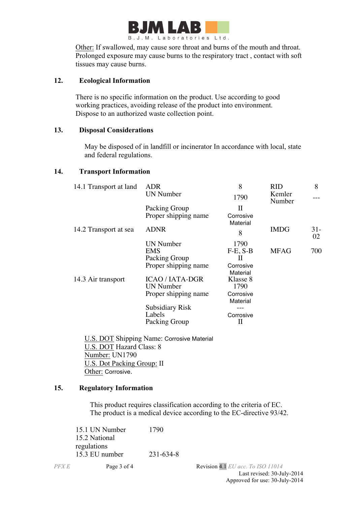

Other: If swallowed, may cause sore throat and burns of the mouth and throat. Prolonged exposure may cause burns to the respiratory tract , contact with soft tissues may cause burns.

### **12. Ecological Information**

There is no specific information on the product. Use according to good working practices, avoiding release of the product into environment. Dispose to an authorized waste collection point.

### **13. Disposal Considerations**

 May be disposed of in landfill or incinerator In accordance with local, state and federal regulations.

#### **14. Transport Information**

| 14.1 Transport at land | ADR                    | 8          | RID              | 8           |
|------------------------|------------------------|------------|------------------|-------------|
|                        | <b>UN Number</b>       | 1790       | Kemler<br>Number |             |
|                        | Packing Group          | Н          |                  |             |
|                        | Proper shipping name   | Corrosive  |                  |             |
|                        |                        | Material   |                  |             |
| 14.2 Transport at sea  | <b>ADNR</b>            | 8          | <b>IMDG</b>      | $31-$<br>02 |
|                        | UN Number              | 1790       |                  |             |
|                        | EMS                    | $F-E, S-B$ | <b>MFAG</b>      | 700         |
|                        | Packing Group          | Н          |                  |             |
|                        | Proper shipping name   | Corrosive  |                  |             |
|                        |                        | Material   |                  |             |
| 14.3 Air transport     | <b>ICAO/IATA-DGR</b>   | Klasse 8   |                  |             |
|                        | <b>UN Number</b>       | 1790       |                  |             |
|                        | Proper shipping name   | Corrosive  |                  |             |
|                        |                        | Material   |                  |             |
|                        | <b>Subsidiary Risk</b> |            |                  |             |
|                        | Labels                 | Corrosive  |                  |             |
|                        | Packing Group          | Н          |                  |             |
|                        |                        |            |                  |             |

 U.S. DOT Shipping Name: Corrosive Material U.S. DOT Hazard Class: 8 Number: UN1790 U.S. Dot Packing Group: II Other: Corrosive.

#### **15. Regulatory Information**

This product requires classification according to the criteria of EC. The product is a medical device according to the EC-directive 93/42.

15.1 UN Number 1790 15.2 National regulations 15.3 EU number 231-634-8